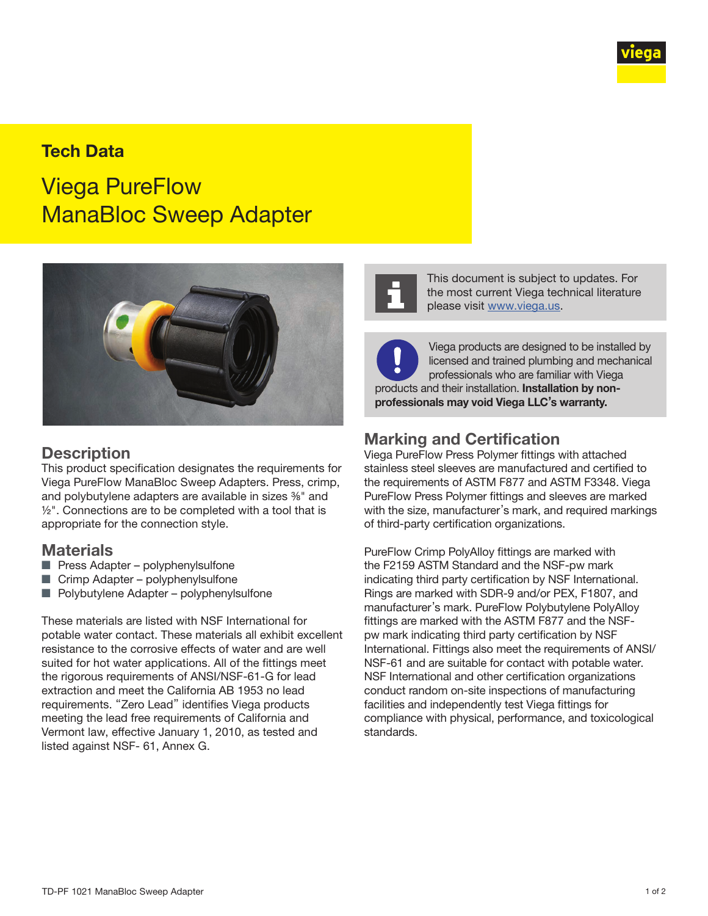

# Tech Data

Viega PureFlow ManaBloc Sweep Adapter



#### **Description**

This product specification designates the requirements for Viega PureFlow ManaBloc Sweep Adapters. Press, crimp, and polybutylene adapters are available in sizes  $%$ " and  $1/2$ ". Connections are to be completed with a tool that is appropriate for the connection style.

#### **Materials**

- Press Adapter polyphenylsulfone
- Crimp Adapter polyphenylsulfone
- Polybutylene Adapter polyphenylsulfone

These materials are listed with NSF International for potable water contact. These materials all exhibit excellent resistance to the corrosive effects of water and are well suited for hot water applications. All of the fittings meet the rigorous requirements of ANSI/NSF-61-G for lead extraction and meet the California AB 1953 no lead requirements. "Zero Lead" identifies Viega products meeting the lead free requirements of California and Vermont law, effective January 1, 2010, as tested and listed against NSF- 61, Annex G.



This document is subject to updates. For the most current Viega technical literature please visit [www.viega.us](http://www.viega.us).

Viega products are designed to be installed by licensed and trained plumbing and mechanical professionals who are familiar with Viega products and their installation. Installation by nonprofessionals may void Viega LLC's warranty.

#### Marking and Certification

Viega PureFlow Press Polymer fittings with attached stainless steel sleeves are manufactured and certified to the requirements of ASTM F877 and ASTM F3348. Viega PureFlow Press Polymer fittings and sleeves are marked with the size, manufacturer's mark, and required markings of third-party certification organizations.

PureFlow Crimp PolyAlloy fittings are marked with the F2159 ASTM Standard and the NSF-pw mark indicating third party certification by NSF International. Rings are marked with SDR-9 and/or PEX, F1807, and manufacturer's mark. PureFlow Polybutylene PolyAlloy fittings are marked with the ASTM F877 and the NSFpw mark indicating third party certification by NSF International. Fittings also meet the requirements of ANSI/ NSF-61 and are suitable for contact with potable water. NSF International and other certification organizations conduct random on-site inspections of manufacturing facilities and independently test Viega fittings for compliance with physical, performance, and toxicological standards.